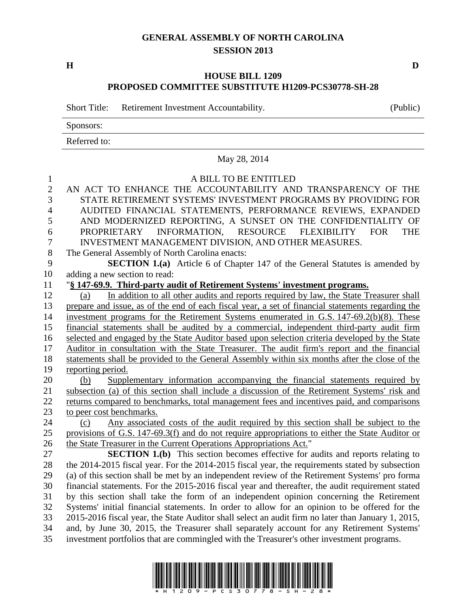## **GENERAL ASSEMBLY OF NORTH CAROLINA SESSION 2013**

**H D**

## **HOUSE BILL 1209 PROPOSED COMMITTEE SUBSTITUTE H1209-PCS30778-SH-28**

Short Title: Retirement Investment Accountability. (Public)

Sponsors:

Referred to:

|                                     | May 28, 2014                                                                                                                                                                                 |
|-------------------------------------|----------------------------------------------------------------------------------------------------------------------------------------------------------------------------------------------|
| $\mathbf{1}$<br>$\overline{2}$<br>3 | A BILL TO BE ENTITLED<br>AN ACT TO ENHANCE THE ACCOUNTABILITY AND TRANSPARENCY OF THE<br>STATE RETIREMENT SYSTEMS' INVESTMENT PROGRAMS BY PROVIDING FOR                                      |
| $\overline{4}$                      | AUDITED FINANCIAL STATEMENTS, PERFORMANCE REVIEWS, EXPANDED                                                                                                                                  |
| 5                                   | AND MODERNIZED REPORTING, A SUNSET ON THE CONFIDENTIALITY OF                                                                                                                                 |
| 6                                   | PROPRIETARY INFORMATION, RESOURCE FLEXIBILITY FOR<br><b>THE</b>                                                                                                                              |
| $\boldsymbol{7}$                    | INVESTMENT MANAGEMENT DIVISION, AND OTHER MEASURES.                                                                                                                                          |
| $8\,$                               | The General Assembly of North Carolina enacts:                                                                                                                                               |
| 9                                   | <b>SECTION 1.(a)</b> Article 6 of Chapter 147 of the General Statutes is amended by                                                                                                          |
| 10                                  | adding a new section to read:                                                                                                                                                                |
| 11                                  | "§ 147-69.9. Third-party audit of Retirement Systems' investment programs.                                                                                                                   |
| 12                                  | In addition to all other audits and reports required by law, the State Treasurer shall<br>(a)                                                                                                |
| 13                                  | prepare and issue, as of the end of each fiscal year, a set of financial statements regarding the                                                                                            |
| 14                                  | investment programs for the Retirement Systems enumerated in G.S. 147-69.2(b)(8). These                                                                                                      |
| 15                                  | financial statements shall be audited by a commercial, independent third-party audit firm                                                                                                    |
| 16                                  | selected and engaged by the State Auditor based upon selection criteria developed by the State                                                                                               |
| 17<br>18                            | Auditor in consultation with the State Treasurer. The audit firm's report and the financial<br>statements shall be provided to the General Assembly within six months after the close of the |
| 19                                  | reporting period.                                                                                                                                                                            |
| 20                                  | Supplementary information accompanying the financial statements required by<br>(b)                                                                                                           |
| 21                                  | subsection (a) of this section shall include a discussion of the Retirement Systems' risk and                                                                                                |
| 22                                  | returns compared to benchmarks, total management fees and incentives paid, and comparisons                                                                                                   |
| 23                                  | to peer cost benchmarks.                                                                                                                                                                     |
| 24                                  | Any associated costs of the audit required by this section shall be subject to the<br>(c)                                                                                                    |
| 25                                  | provisions of G.S. 147-69.3(f) and do not require appropriations to either the State Auditor or                                                                                              |
| 26                                  | the State Treasurer in the Current Operations Appropriations Act."                                                                                                                           |
| 27                                  | <b>SECTION 1.(b)</b> This section becomes effective for audits and reports relating to                                                                                                       |
| 28                                  | the 2014-2015 fiscal year. For the 2014-2015 fiscal year, the requirements stated by subsection                                                                                              |
| 29                                  | (a) of this section shall be met by an independent review of the Retirement Systems' pro forma                                                                                               |
| 30                                  | financial statements. For the 2015-2016 fiscal year and thereafter, the audit requirement stated                                                                                             |
| 31                                  | by this section shall take the form of an independent opinion concerning the Retirement                                                                                                      |
| 32                                  | Systems' initial financial statements. In order to allow for an opinion to be offered for the                                                                                                |
| 33                                  | 2015-2016 fiscal year, the State Auditor shall select an audit firm no later than January 1, 2015,                                                                                           |
| 34<br>35                            | and, by June 30, 2015, the Treasurer shall separately account for any Retirement Systems'<br>investment portfolios that are commingled with the Treasurer's other investment programs.       |
|                                     |                                                                                                                                                                                              |

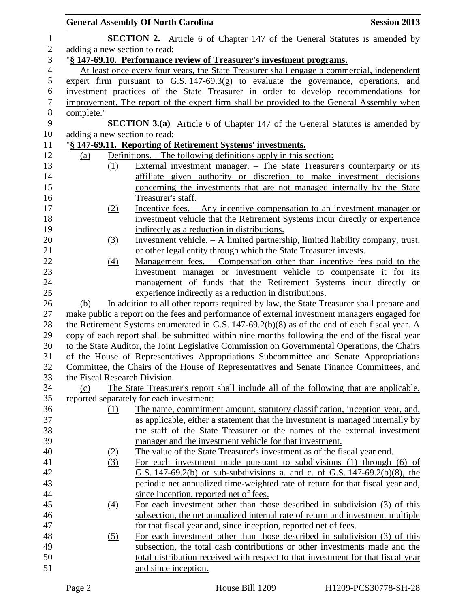|                |                               | <b>General Assembly Of North Carolina</b>                                                      | <b>Session 2013</b> |
|----------------|-------------------------------|------------------------------------------------------------------------------------------------|---------------------|
| $\mathbf{1}$   |                               | <b>SECTION 2.</b> Article 6 of Chapter 147 of the General Statutes is amended by               |                     |
| $\sqrt{2}$     | adding a new section to read: |                                                                                                |                     |
| $\mathfrak{Z}$ |                               | "§ 147-69.10. Performance review of Treasurer's investment programs.                           |                     |
| $\overline{4}$ |                               | At least once every four years, the State Treasurer shall engage a commercial, independent     |                     |
| 5              |                               | expert firm pursuant to G.S. $147-69.3(g)$ to evaluate the governance, operations, and         |                     |
| $\sqrt{6}$     |                               | investment practices of the State Treasurer in order to develop recommendations for            |                     |
| $\tau$         |                               | improvement. The report of the expert firm shall be provided to the General Assembly when      |                     |
| $8\,$          | complete."                    |                                                                                                |                     |
| 9              |                               | <b>SECTION 3.(a)</b> Article 6 of Chapter 147 of the General Statutes is amended by            |                     |
| 10             | adding a new section to read: |                                                                                                |                     |
| 11             |                               | "§ 147-69.11. Reporting of Retirement Systems' investments.                                    |                     |
| 12             | (a)                           | Definitions. – The following definitions apply in this section:                                |                     |
| 13             | (1)                           | External investment manager. – The State Treasurer's counterparty or its                       |                     |
| 14             |                               | affiliate given authority or discretion to make investment decisions                           |                     |
| 15             |                               | concerning the investments that are not managed internally by the State                        |                     |
| 16             |                               | Treasurer's staff.                                                                             |                     |
| 17             | (2)                           | Incentive fees. – Any incentive compensation to an investment manager or                       |                     |
| 18             |                               | investment vehicle that the Retirement Systems incur directly or experience                    |                     |
| 19             |                               | indirectly as a reduction in distributions.                                                    |                     |
| 20             | (3)                           | Investment vehicle. $- A$ limited partnership, limited liability company, trust,               |                     |
| 21             |                               | or other legal entity through which the State Treasurer invests.                               |                     |
| 22             | (4)                           | Management fees. – Compensation other than incentive fees paid to the                          |                     |
| 23             |                               | investment manager or investment vehicle to compensate it for its                              |                     |
| 24             |                               | management of funds that the Retirement Systems incur directly or                              |                     |
| $25\,$         |                               | experience indirectly as a reduction in distributions.                                         |                     |
| 26             | (b)                           | In addition to all other reports required by law, the State Treasurer shall prepare and        |                     |
| 27             |                               | make public a report on the fees and performance of external investment managers engaged for   |                     |
| 28             |                               | the Retirement Systems enumerated in G.S. 147-69.2(b)(8) as of the end of each fiscal year. A  |                     |
| 29             |                               | copy of each report shall be submitted within nine months following the end of the fiscal year |                     |
| 30             |                               | to the State Auditor, the Joint Legislative Commission on Governmental Operations, the Chairs  |                     |
| 31             |                               | of the House of Representatives Appropriations Subcommittee and Senate Appropriations          |                     |
| 32             |                               | Committee, the Chairs of the House of Representatives and Senate Finance Committees, and       |                     |
| 33             | the Fiscal Research Division. |                                                                                                |                     |
| 34             | (c)                           | The State Treasurer's report shall include all of the following that are applicable,           |                     |
| 35             |                               | reported separately for each investment:                                                       |                     |
| 36             | (1)                           | The name, commitment amount, statutory classification, inception year, and,                    |                     |
| 37             |                               | as applicable, either a statement that the investment is managed internally by                 |                     |
| 38             |                               | the staff of the State Treasurer or the names of the external investment                       |                     |
| 39             |                               | manager and the investment vehicle for that investment.                                        |                     |
| 40             | (2)                           | The value of the State Treasurer's investment as of the fiscal year end.                       |                     |
| 41             | (3)                           | For each investment made pursuant to subdivisions (1) through (6) of                           |                     |
| 42             |                               | G.S. 147-69.2(b) or sub-subdivisions a. and c. of G.S. 147-69.2(b)(8), the                     |                     |
| 43             |                               | periodic net annualized time-weighted rate of return for that fiscal year and,                 |                     |
| 44             |                               | since inception, reported net of fees.                                                         |                     |
| 45             | $\left(4\right)$              | For each investment other than those described in subdivision (3) of this                      |                     |
| 46             |                               | subsection, the net annualized internal rate of return and investment multiple                 |                     |
| 47             |                               | for that fiscal year and, since inception, reported net of fees.                               |                     |
| 48             | (5)                           | For each investment other than those described in subdivision (3) of this                      |                     |
| 49             |                               | subsection, the total cash contributions or other investments made and the                     |                     |
| 50             |                               | total distribution received with respect to that investment for that fiscal year               |                     |
| 51             |                               | and since inception.                                                                           |                     |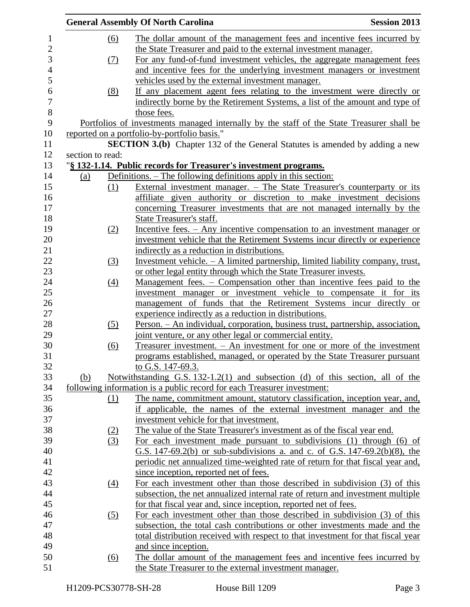|     |                   | <b>General Assembly Of North Carolina</b>                                                 | <b>Session 2013</b> |
|-----|-------------------|-------------------------------------------------------------------------------------------|---------------------|
|     | (6)               | The dollar amount of the management fees and incentive fees incurred by                   |                     |
|     |                   | the State Treasurer and paid to the external investment manager.                          |                     |
|     | (7)               | For any fund-of-fund investment vehicles, the aggregate management fees                   |                     |
|     |                   | and incentive fees for the underlying investment managers or investment                   |                     |
|     |                   | vehicles used by the external investment manager.                                         |                     |
|     | (8)               | If any placement agent fees relating to the investment were directly or                   |                     |
|     |                   | indirectly borne by the Retirement Systems, a list of the amount and type of              |                     |
|     |                   | those fees.                                                                               |                     |
|     |                   | Portfolios of investments managed internally by the staff of the State Treasurer shall be |                     |
|     |                   | reported on a portfolio-by-portfolio basis."                                              |                     |
|     |                   | <b>SECTION 3.(b)</b> Chapter 132 of the General Statutes is amended by adding a new       |                     |
|     | section to read:  |                                                                                           |                     |
|     |                   | "§ 132-1.14. Public records for Treasurer's investment programs.                          |                     |
| (a) |                   | Definitions. – The following definitions apply in this section:                           |                     |
|     | (1)               | External investment manager. – The State Treasurer's counterparty or its                  |                     |
|     |                   | affiliate given authority or discretion to make investment decisions                      |                     |
|     |                   | concerning Treasurer investments that are not managed internally by the                   |                     |
|     |                   | State Treasurer's staff.                                                                  |                     |
|     | (2)               | Incentive fees. - Any incentive compensation to an investment manager or                  |                     |
|     |                   | investment vehicle that the Retirement Systems incur directly or experience               |                     |
|     |                   | indirectly as a reduction in distributions.                                               |                     |
|     | (3)               | Investment vehicle. $- A$ limited partnership, limited liability company, trust,          |                     |
|     |                   | or other legal entity through which the State Treasurer invests.                          |                     |
|     | $\underline{(4)}$ | Management fees. – Compensation other than incentive fees paid to the                     |                     |
|     |                   | investment manager or investment vehicle to compensate it for its                         |                     |
|     |                   | management of funds that the Retirement Systems incur directly or                         |                     |
|     |                   | experience indirectly as a reduction in distributions.                                    |                     |
|     | (5)               | <u> Person. – An individual, corporation, business trust, partnership, association,</u>   |                     |
|     |                   | joint venture, or any other legal or commercial entity.                                   |                     |
|     | (6)               | Treasurer investment. - An investment for one or more of the investment                   |                     |
|     |                   | programs established, managed, or operated by the State Treasurer pursuant                |                     |
|     |                   | to G.S. 147-69.3.                                                                         |                     |
| (b) |                   | Notwithstanding G.S. $132-1.2(1)$ and subsection (d) of this section, all of the          |                     |
|     |                   | following information is a public record for each Treasurer investment:                   |                     |
|     | (1)               | The name, commitment amount, statutory classification, inception year, and,               |                     |
|     |                   | if applicable, the names of the external investment manager and the                       |                     |
|     |                   | investment vehicle for that investment.                                                   |                     |
|     | (2)               | The value of the State Treasurer's investment as of the fiscal year end.                  |                     |
|     | (3)               | For each investment made pursuant to subdivisions (1) through (6) of                      |                     |
|     |                   | G.S. 147-69.2(b) or sub-subdivisions a. and c. of G.S. 147-69.2(b)(8), the                |                     |
|     |                   | periodic net annualized time-weighted rate of return for that fiscal year and,            |                     |
|     |                   | since inception, reported net of fees.                                                    |                     |
|     | $\underline{(4)}$ | For each investment other than those described in subdivision (3) of this                 |                     |
|     |                   | subsection, the net annualized internal rate of return and investment multiple            |                     |
|     |                   | for that fiscal year and, since inception, reported net of fees.                          |                     |
|     | (5)               | For each investment other than those described in subdivision (3) of this                 |                     |
|     |                   | subsection, the total cash contributions or other investments made and the                |                     |
|     |                   | total distribution received with respect to that investment for that fiscal year          |                     |
|     |                   | and since inception.                                                                      |                     |
|     | <u>(6)</u>        | The dollar amount of the management fees and incentive fees incurred by                   |                     |
|     |                   | the State Treasurer to the external investment manager.                                   |                     |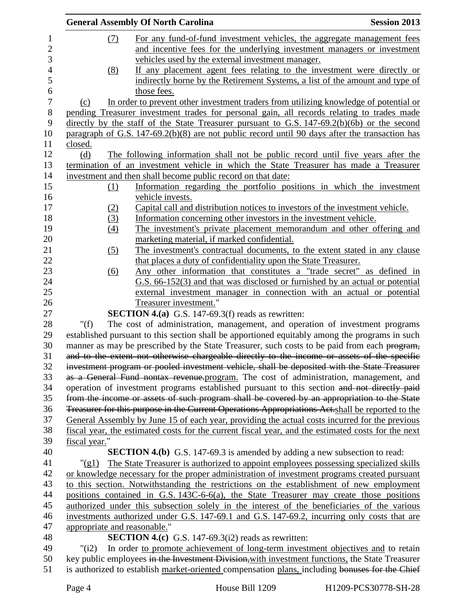|                              | <b>General Assembly Of North Carolina</b>                                                          | <b>Session 2013</b> |
|------------------------------|----------------------------------------------------------------------------------------------------|---------------------|
| (7)                          | For any fund-of-fund investment vehicles, the aggregate management fees                            |                     |
|                              | and incentive fees for the underlying investment managers or investment                            |                     |
|                              | vehicles used by the external investment manager.                                                  |                     |
| (8)                          | If any placement agent fees relating to the investment were directly or                            |                     |
|                              | indirectly borne by the Retirement Systems, a list of the amount and type of                       |                     |
|                              | those fees.                                                                                        |                     |
| (c)                          | In order to prevent other investment traders from utilizing knowledge of potential or              |                     |
|                              | pending Treasurer investment trades for personal gain, all records relating to trades made         |                     |
|                              | directly by the staff of the State Treasurer pursuant to G.S. $147-69.2(b)(6b)$ or the second      |                     |
|                              | paragraph of G.S. $147-69.2(b)(8)$ are not public record until 90 days after the transaction has   |                     |
| closed.                      |                                                                                                    |                     |
| (d)                          | The following information shall not be public record until five years after the                    |                     |
|                              | termination of an investment vehicle in which the State Treasurer has made a Treasurer             |                     |
|                              | investment and then shall become public record on that date:                                       |                     |
| (1)                          | Information regarding the portfolio positions in which the investment                              |                     |
|                              | vehicle invests.                                                                                   |                     |
| (2)                          | Capital call and distribution notices to investors of the investment vehicle.                      |                     |
| (3)                          | Information concerning other investors in the investment vehicle.                                  |                     |
| $\left(4\right)$             | The investment's private placement memorandum and other offering and                               |                     |
|                              | marketing material, if marked confidential.                                                        |                     |
| (5)                          | The investment's contractual documents, to the extent stated in any clause                         |                     |
|                              | that places a duty of confidentiality upon the State Treasurer.                                    |                     |
| <u>(6)</u>                   | Any other information that constitutes a "trade secret" as defined in                              |                     |
|                              | G.S. 66-152(3) and that was disclosed or furnished by an actual or potential                       |                     |
|                              | external investment manager in connection with an actual or potential                              |                     |
|                              | Treasurer investment."                                                                             |                     |
|                              | <b>SECTION 4.(a)</b> G.S. 147-69.3(f) reads as rewritten:                                          |                     |
| " $(f)$                      | The cost of administration, management, and operation of investment programs                       |                     |
|                              | established pursuant to this section shall be apportioned equitably among the programs in such     |                     |
|                              | manner as may be prescribed by the State Treasurer, such costs to be paid from each program,       |                     |
|                              | and to the extent not otherwise chargeable directly to the income or assets of the specific        |                     |
|                              | investment program or pooled investment vehicle, shall be deposited with the State Treasurer       |                     |
|                              | as a General Fund nontax revenue.program. The cost of administration, management, and              |                     |
|                              | operation of investment programs established pursuant to this section and not directly paid        |                     |
|                              | from the income or assets of such program shall be covered by an appropriation to the State        |                     |
|                              | Treasurer for this purpose in the Current Operations Appropriations Act.shall be reported to the   |                     |
|                              | General Assembly by June 15 of each year, providing the actual costs incurred for the previous     |                     |
|                              | fiscal year, the estimated costs for the current fiscal year, and the estimated costs for the next |                     |
| fiscal year."                |                                                                                                    |                     |
|                              | <b>SECTION 4.(b)</b> G.S. 147-69.3 is amended by adding a new subsection to read:                  |                     |
| $"(\text{gl})$               | The State Treasurer is authorized to appoint employees possessing specialized skills               |                     |
|                              | or knowledge necessary for the proper administration of investment programs created pursuant       |                     |
|                              | to this section. Notwithstanding the restrictions on the establishment of new employment           |                     |
|                              | positions contained in G.S. 143C-6-6(a), the State Treasurer may create those positions            |                     |
|                              | authorized under this subsection solely in the interest of the beneficiaries of the various        |                     |
|                              | investments authorized under G.S. 147-69.1 and G.S. 147-69.2, incurring only costs that are        |                     |
| appropriate and reasonable." |                                                                                                    |                     |
|                              | <b>SECTION 4.(c)</b> G.S. 147-69.3( $i2$ ) reads as rewritten:                                     |                     |
| "(i2)                        | In order to promote achievement of long-term investment objectives and to retain                   |                     |
|                              | key public employees in the Investment Division, with investment functions, the State Treasurer    |                     |
|                              | is authorized to establish market-oriented compensation plans, including bonuses for the Chief     |                     |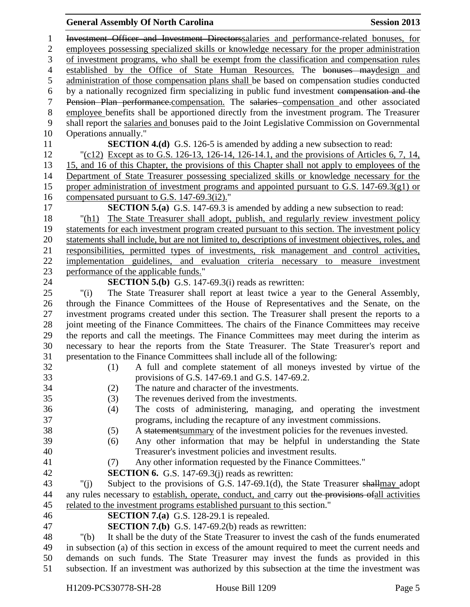## **General Assembly Of North Carolina Session 2013**

 Investment Officer and Investment Directorssalaries and performance-related bonuses, for employees possessing specialized skills or knowledge necessary for the proper administration of investment programs, who shall be exempt from the classification and compensation rules 4 established by the Office of State Human Resources. The bonuses may design and administration of those compensation plans shall be based on compensation studies conducted by a nationally recognized firm specializing in public fund investment compensation and the 7 Pension Plan performance.compensation. The salaries compensation and other associated employee benefits shall be apportioned directly from the investment program. The Treasurer shall report the salaries and bonuses paid to the Joint Legislative Commission on Governmental Operations annually." **SECTION 4.(d)** G.S. 126-5 is amended by adding a new subsection to read: "(c12) Except as to G.S. 126-13, 126-14, 126-14.1, and the provisions of Articles 6, 7, 14, 15, and 16 of this Chapter, the provisions of this Chapter shall not apply to employees of the Department of State Treasurer possessing specialized skills or knowledge necessary for the proper administration of investment programs and appointed pursuant to G.S. 147-69.3(g1) or compensated pursuant to G.S. 147-69.3(i2)." **SECTION 5.(a)** G.S. 147-69.3 is amended by adding a new subsection to read: 18 "(h1) The State Treasurer shall adopt, publish, and regularly review investment policy statements for each investment program created pursuant to this section. The investment policy statements shall include, but are not limited to, descriptions of investment objectives, roles, and responsibilities, permitted types of investments, risk management and control activities, implementation guidelines, and evaluation criteria necessary to measure investment performance of the applicable funds." **SECTION 5.(b)** G.S. 147-69.3(i) reads as rewritten: "(i) The State Treasurer shall report at least twice a year to the General Assembly, through the Finance Committees of the House of Representatives and the Senate, on the investment programs created under this section. The Treasurer shall present the reports to a joint meeting of the Finance Committees. The chairs of the Finance Committees may receive the reports and call the meetings. The Finance Committees may meet during the interim as necessary to hear the reports from the State Treasurer. The State Treasurer's report and presentation to the Finance Committees shall include all of the following: (1) A full and complete statement of all moneys invested by virtue of the provisions of G.S. 147-69.1 and G.S. 147-69.2. (2) The nature and character of the investments. (3) The revenues derived from the investments. (4) The costs of administering, managing, and operating the investment programs, including the recapture of any investment commissions. (5) A statementsummary of the investment policies for the revenues invested. (6) Any other information that may be helpful in understanding the State Treasurer's investment policies and investment results. (7) Any other information requested by the Finance Committees." **SECTION 6.** G.S. 147-69.3(j) reads as rewritten: 43 "(i) Subject to the provisions of G.S. 147-69.1(d), the State Treasurer shall may adopt 44 any rules necessary to establish, operate, conduct, and carry out the provisions of all activities related to the investment programs established pursuant to this section." **SECTION 7.(a)** G.S. 128-29.1 is repealed. **SECTION 7.(b)** G.S. 147-69.2(b) reads as rewritten: "(b) It shall be the duty of the State Treasurer to invest the cash of the funds enumerated in subsection (a) of this section in excess of the amount required to meet the current needs and demands on such funds. The State Treasurer may invest the funds as provided in this subsection. If an investment was authorized by this subsection at the time the investment was